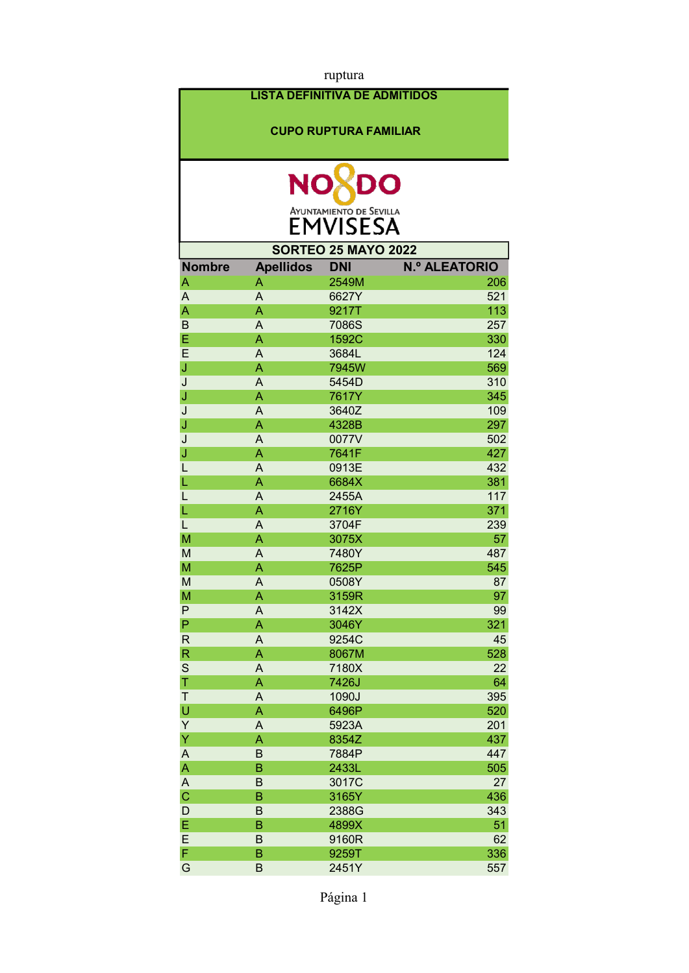| ruptura                                                               |                                                                |                                                                                                          |                                 |
|-----------------------------------------------------------------------|----------------------------------------------------------------|----------------------------------------------------------------------------------------------------------|---------------------------------|
|                                                                       |                                                                | <b>LISTA DEFINITIVA DE ADMITIDOS</b>                                                                     |                                 |
|                                                                       |                                                                |                                                                                                          |                                 |
|                                                                       |                                                                | <b>CUPO RUPTURA FAMILIAR</b>                                                                             |                                 |
|                                                                       |                                                                |                                                                                                          |                                 |
|                                                                       | <b>NO</b>                                                      | DO                                                                                                       |                                 |
|                                                                       |                                                                | <b>AYUNTAMIENTO DE SEVILLA</b>                                                                           |                                 |
|                                                                       |                                                                | <b>EMVISESA</b>                                                                                          |                                 |
|                                                                       |                                                                | <b>SORTEO 25 MAYO 2022</b>                                                                               |                                 |
| <b>Nombre</b>                                                         | <b>Apellidos</b>                                               | <b>DNI</b>                                                                                               | <b>N.º ALEATORIO</b>            |
| Α                                                                     | Α                                                              | 2549M                                                                                                    | 206                             |
| A                                                                     | A                                                              | 6627Y                                                                                                    | 521                             |
| A                                                                     | A                                                              | 9217T                                                                                                    | 113                             |
| $\overline{B}$                                                        | A                                                              | 7086S                                                                                                    | 257                             |
| E                                                                     | A                                                              | 1592C                                                                                                    | 330                             |
| E                                                                     | A                                                              | 3684L                                                                                                    | 124                             |
| J                                                                     | A                                                              | 7945W                                                                                                    | 569                             |
| J                                                                     | A                                                              | 5454D                                                                                                    | 310                             |
| J                                                                     | Α                                                              | 7617Y                                                                                                    | 345                             |
| J                                                                     | A                                                              | 3640Z                                                                                                    | 109                             |
| J                                                                     | A                                                              | 4328B                                                                                                    | 297                             |
| J                                                                     | A                                                              | 0077V                                                                                                    | 502                             |
| J                                                                     | A                                                              | 7641F                                                                                                    | 427                             |
| L                                                                     | A                                                              | 0913E                                                                                                    | 432                             |
| L                                                                     | Α                                                              | 6684X                                                                                                    | 381                             |
| L                                                                     | A                                                              | 2455A                                                                                                    | 117                             |
| L                                                                     | A                                                              | 2716Y                                                                                                    | 371                             |
| L                                                                     | A                                                              | 3704F                                                                                                    | 239                             |
| M                                                                     | A                                                              | 3075X                                                                                                    | 57                              |
| M                                                                     | A                                                              | 7480Y                                                                                                    | 487                             |
| M                                                                     | A                                                              | 7625P                                                                                                    | 545                             |
| M                                                                     | A                                                              | 0508Y                                                                                                    | 87                              |
| M<br>P                                                                | A                                                              | 3159R                                                                                                    | 97                              |
| $\mathsf{P}$                                                          | A                                                              | 3142X                                                                                                    | 99<br>321                       |
| $\mathsf{R}$                                                          | A<br>A                                                         | 3046Y<br>9254C                                                                                           | 45                              |
| $\mathsf{R}$                                                          | A                                                              | 8067M                                                                                                    | 528                             |
| $\mathbf S$                                                           | A                                                              | 7180X                                                                                                    | 22                              |
| T                                                                     | A                                                              | 7426J                                                                                                    | 64                              |
|                                                                       |                                                                |                                                                                                          |                                 |
|                                                                       |                                                                |                                                                                                          |                                 |
|                                                                       |                                                                |                                                                                                          |                                 |
|                                                                       |                                                                |                                                                                                          |                                 |
|                                                                       |                                                                |                                                                                                          | 447                             |
|                                                                       |                                                                |                                                                                                          |                                 |
|                                                                       |                                                                |                                                                                                          | 27                              |
|                                                                       |                                                                |                                                                                                          | 436                             |
|                                                                       |                                                                |                                                                                                          | 343                             |
|                                                                       |                                                                |                                                                                                          | 51                              |
|                                                                       |                                                                |                                                                                                          | 62                              |
|                                                                       |                                                                |                                                                                                          | 336                             |
| G                                                                     | B                                                              | 2451Y                                                                                                    | 557                             |
| T<br>U<br>Y<br>Υ<br>A<br>A<br>A<br>$\overline{C}$<br>D<br>E<br>E<br>F | A<br>A<br>A<br>A<br>B<br>B<br>B<br>B<br>B<br>B<br>$\sf B$<br>B | 1090J<br>6496P<br>5923A<br>8354Z<br>7884P<br>2433L<br>3017C<br>3165Y<br>2388G<br>4899X<br>9160R<br>9259T | 395<br>520<br>201<br>437<br>505 |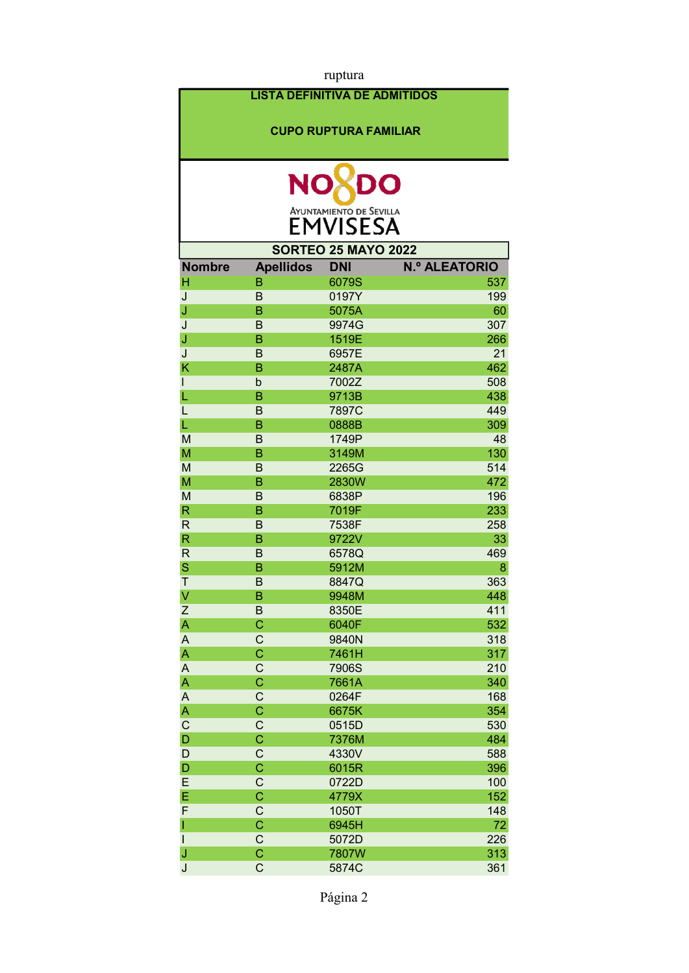| ruptura                   |                               |                                      |                      |
|---------------------------|-------------------------------|--------------------------------------|----------------------|
|                           |                               | <b>LISTA DEFINITIVA DE ADMITIDOS</b> |                      |
|                           |                               |                                      |                      |
|                           |                               | <b>CUPO RUPTURA FAMILIAR</b>         |                      |
|                           |                               |                                      |                      |
|                           |                               |                                      |                      |
|                           | <b>NO</b>                     | DO                                   |                      |
|                           |                               |                                      |                      |
|                           |                               | AYUNTAMIENTO DE SEVILLA              |                      |
|                           |                               |                                      |                      |
|                           |                               | <b>SORTEO 25 MAYO 2022</b>           |                      |
| <b>Nombre</b>             | <b>Apellidos</b>              | <b>DNI</b>                           | <b>N.º ALEATORIO</b> |
| Η                         | B                             | 6079S                                | 537                  |
| J                         | B                             | 0197Y                                | 199                  |
| J                         | B                             | 5075A                                | 60                   |
| J                         | B                             | 9974G                                | 307                  |
| J                         | B                             | 1519E                                | 266                  |
| J                         | B<br>B                        | 6957E                                | 21<br>462            |
| K                         |                               | 2487A                                | 508                  |
| $\mathsf{I}$<br>L         | b<br>B                        | 7002Z<br>9713B                       | 438                  |
| L                         | B                             | 7897C                                | 449                  |
| L                         | B                             | 0888B                                | 309                  |
| M                         | B                             | 1749P                                | 48                   |
| M                         | B                             | 3149M                                | 130                  |
| M                         | B                             | 2265G                                | 514                  |
| M                         | B                             | 2830W                                | 472                  |
| M                         | B                             | 6838P                                | 196                  |
| $\mathsf{R}$              | B                             | 7019F                                | 233                  |
| $\mathsf{R}$              | B                             | 7538F                                | 258                  |
| $\mathsf{R}$              | B                             | 9722V                                | 33                   |
| $\mathsf{R}$              | B                             | 6578Q                                | 469                  |
| S                         | B                             | 5912M                                | 8                    |
| Τ                         | B                             | 8847Q                                | 363                  |
| V                         | B                             | 9948M                                | 448                  |
| Z                         | B                             | 8350E                                | 411                  |
| A                         | $\overline{C}$                | 6040F                                | 532                  |
| $\boldsymbol{\mathsf{A}}$ | $\mathsf C$                   | 9840N                                | 318                  |
| A                         | $\overline{C}$                | 7461H                                | 317                  |
| A                         | $\mathsf C$<br>$\overline{C}$ | 7906S                                | 210                  |
| A                         |                               | 7661A                                | 340<br>168           |
| A<br>A                    | C<br>Ċ                        | 0264F<br>6675K                       | 354                  |
| $\mathsf{C}$              | C                             | 0515D                                | 530                  |
| $\mathsf D$               | Ċ                             | 7376M                                | 484                  |
| D                         | $\mathsf C$                   | 4330V                                | 588                  |
| D                         | Ċ                             | 6015R                                | 396                  |
| E                         | $\mathsf{C}$                  | 0722D                                | 100                  |
| E                         | $\overline{C}$                | 4779X                                | 152                  |
| F                         | $\mathsf C$                   | 1050T                                | 148                  |
| T                         | $\overline{C}$                | 6945H                                | 72                   |
| $\mathsf{I}$              | $\mathsf C$                   | 5072D                                | 226                  |
| J                         | C                             | 7807W                                | 313                  |
| J                         | C                             | 5874C                                | 361                  |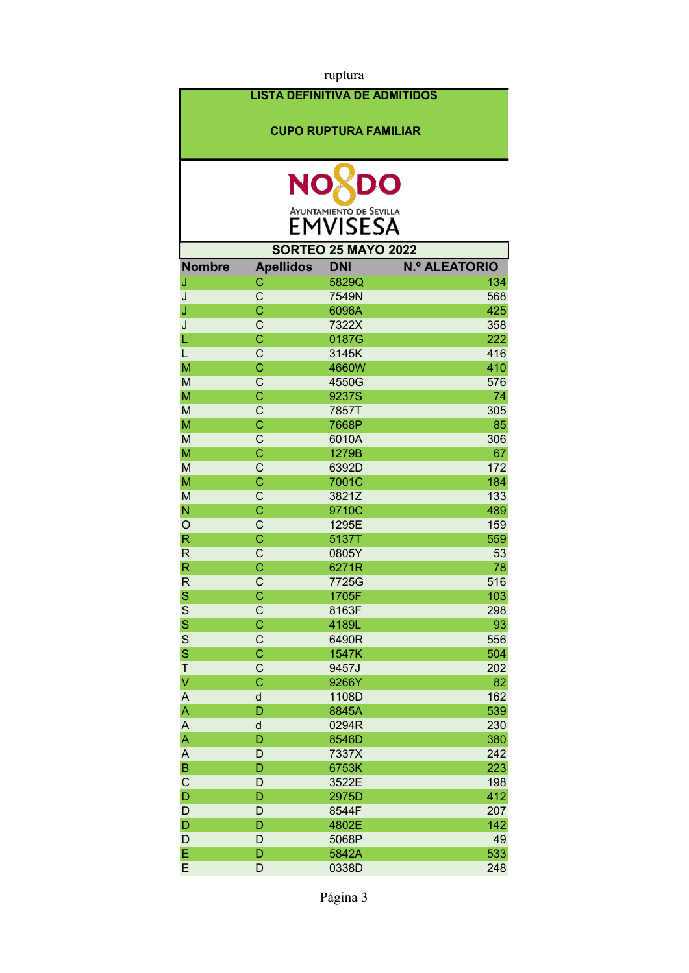| ruptura                 |                            |                                      |                      |  |
|-------------------------|----------------------------|--------------------------------------|----------------------|--|
|                         |                            | <b>LISTA DEFINITIVA DE ADMITIDOS</b> |                      |  |
|                         |                            |                                      |                      |  |
|                         |                            | <b>CUPO RUPTURA FAMILIAR</b>         |                      |  |
|                         |                            |                                      |                      |  |
|                         |                            |                                      |                      |  |
|                         | <b>NO</b>                  | DO                                   |                      |  |
|                         |                            |                                      |                      |  |
|                         |                            | AYUNTAMIENTO DE SEVILLA              |                      |  |
|                         |                            |                                      |                      |  |
|                         |                            | <b>SORTEO 25 MAYO 2022</b>           |                      |  |
| <b>Nombre</b>           | <b>Apellidos</b>           | <b>DNI</b>                           | <b>N.º ALEATORIO</b> |  |
| J                       | C                          | 5829Q                                | 134                  |  |
| J                       | $\mathsf{C}$               | 7549N                                | 568                  |  |
| J                       | Ċ                          | 6096A                                | 425                  |  |
| J                       | C                          | 7322X                                | 358                  |  |
| L<br>L                  | $\overline{C}$<br>C        | 0187G                                | 222<br>416           |  |
| M                       | $\overline{\text{C}}$      | 3145K<br>4660W                       | 410                  |  |
| M                       | $\mathsf{C}$               | 4550G                                | 576                  |  |
| M                       | $\overline{\mathsf{C}}$    | 9237S                                | 74                   |  |
| M                       | $\mathsf{C}$               | 7857T                                | 305                  |  |
| M                       | Ċ                          | 7668P                                | 85                   |  |
| M                       | C                          | 6010A                                | 306                  |  |
| M                       | $\overline{C}$             | 1279B                                | 67                   |  |
| M                       | C                          | 6392D                                | 172                  |  |
| M                       | Ċ                          | 7001C                                | 184                  |  |
| M                       | C                          | 3821Z                                | 133                  |  |
| N                       | C                          | 9710C                                | 489                  |  |
| $\circ$                 | $\mathsf{C}$               | 1295E                                | 159                  |  |
| $\mathsf{R}$            | Ċ                          | 5137T                                | 559                  |  |
| $\mathsf{R}$            | C                          | 0805Y                                | 53                   |  |
| $\overline{\mathsf{R}}$ | $\overline{\text{C}}$      | 6271R                                | 78                   |  |
| $\mathsf{R}$            | $\mathsf C$                | 7725G                                | 516                  |  |
| S<br>$\mathbf S$        | $\mathsf C$<br>$\mathsf C$ | 1705F<br>8163F                       | 103<br>298           |  |
| S                       | $\overline{C}$             | 4189L                                | 93                   |  |
| $\overline{\mathbf{s}}$ | $\mathsf C$                | 6490R                                | 556                  |  |
| $\mathbf S$             | $\overline{C}$             | 1547K                                | 504                  |  |
| Τ                       | $\mathsf C$                | 9457J                                | 202                  |  |
| $\overline{\mathsf{V}}$ | $\overline{C}$             | 9266Y                                | 82                   |  |
| A                       | d                          | 1108D                                | 162                  |  |
| A                       | D                          | 8845A                                | 539                  |  |
| A                       | $\sf d$                    | 0294R                                | 230                  |  |
| A                       | D                          | 8546D                                | 380                  |  |
| A                       | D                          | 7337X                                | 242                  |  |
| $\sf B$                 | D                          | 6753K                                | 223                  |  |
| $\mathsf{C}$            | D                          | 3522E                                | 198                  |  |
| $\mathsf{D}$            | D                          | 2975D                                | 412                  |  |
| $\mathsf D$             | D<br>D                     | 8544F                                | 207                  |  |
| D<br>D                  | D                          | 4802E<br>5068P                       | 142<br>49            |  |
| E                       | D                          | 5842A                                | 533                  |  |
| E                       | D                          | 0338D                                | 248                  |  |
|                         |                            |                                      |                      |  |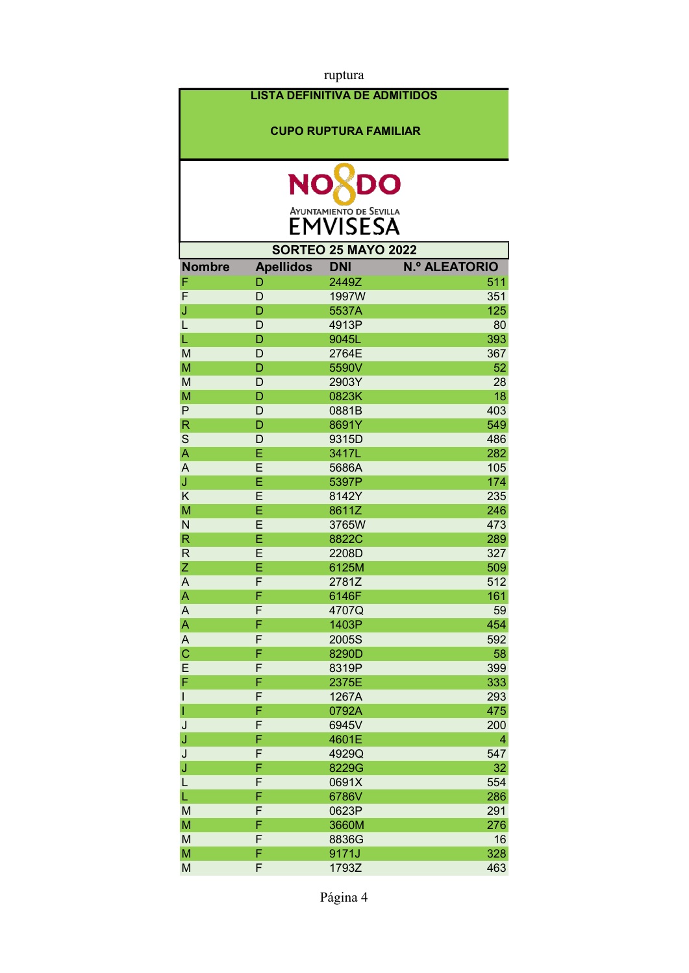| ruptura                 |                                      |                                |                      |
|-------------------------|--------------------------------------|--------------------------------|----------------------|
|                         | <b>LISTA DEFINITIVA DE ADMITIDOS</b> |                                |                      |
|                         |                                      |                                |                      |
|                         |                                      | <b>CUPO RUPTURA FAMILIAR</b>   |                      |
|                         |                                      |                                |                      |
|                         |                                      |                                |                      |
|                         | <b>NO</b>                            | DO                             |                      |
|                         |                                      | <b>AYUNTAMIENTO DE SEVILLA</b> |                      |
|                         |                                      | <b>EMVISESA</b>                |                      |
|                         |                                      | <b>SORTEO 25 MAYO 2022</b>     |                      |
| <b>Nombre</b>           | <b>Apellidos</b>                     | <b>DNI</b>                     | <b>N.º ALEATORIO</b> |
| F                       | D                                    | 2449Z                          | 511                  |
| F                       | D                                    | 1997W                          | 351                  |
| J                       | D                                    | 5537A                          | 125                  |
| L                       | D                                    | 4913P                          | 80                   |
| L                       | D                                    | 9045L                          | 393                  |
| M                       | D                                    | 2764E                          | 367                  |
| M                       | D                                    | 5590V                          | 52                   |
| M                       | D                                    | 2903Y                          | 28                   |
| M                       | D                                    | 0823K                          | 18                   |
| $\mathsf{P}$            | D                                    | 0881B                          | 403                  |
| $\overline{\mathsf{R}}$ | D                                    | 8691Y                          | 549                  |
| S                       | D                                    | 9315D                          | 486                  |
| A                       | E                                    | 3417L                          | 282                  |
| A                       | E                                    | 5686A                          | 105                  |
| J                       | E                                    | 5397P                          | 174                  |
| K                       | E                                    | 8142Y                          | 235                  |
| M                       | Ė                                    | 8611Z                          | 246                  |
| N                       | E                                    | 3765W                          | 473                  |
| $\mathsf{R}$            | E                                    | 8822C                          | 289                  |
| $\mathsf{R}$            | E                                    | 2208D                          | 327                  |
| Ζ                       | Ė                                    | 6125M                          | 509                  |
| A                       | F                                    | 2781Z                          | 512                  |
| A                       | F                                    | 6146F                          | 161                  |
| A                       | F                                    | 4707Q                          | 59                   |
| A                       | F                                    | 1403P                          | 454                  |
| A                       | F                                    | 2005S                          | 592                  |
| $\mathbf C$             | F                                    | 8290D                          | 58                   |
| E                       | F                                    | 8319P                          | 399                  |
| F                       | F                                    | 2375E                          | 333                  |
| $\mathsf{I}$            | F<br>F                               | 1267A                          | 293                  |
| $\mathbf{I}$<br>J       | F                                    | 0792A<br>6945V                 | 475<br>200           |
| J                       | F                                    | 4601E                          | 4                    |
| J                       | F                                    | 4929Q                          | 547                  |
| J                       | F                                    | 8229G                          | 32                   |
| L                       | F                                    | 0691X                          | 554                  |
| L                       | F                                    | 6786V                          | 286                  |
| M                       | F                                    | 0623P                          | 291                  |
| M                       | F                                    | 3660M                          | 276                  |
| M                       | F                                    | 8836G                          | 16                   |
| M                       | F                                    | 9171J                          | 328                  |
| M                       | F                                    | 1793Z                          | 463                  |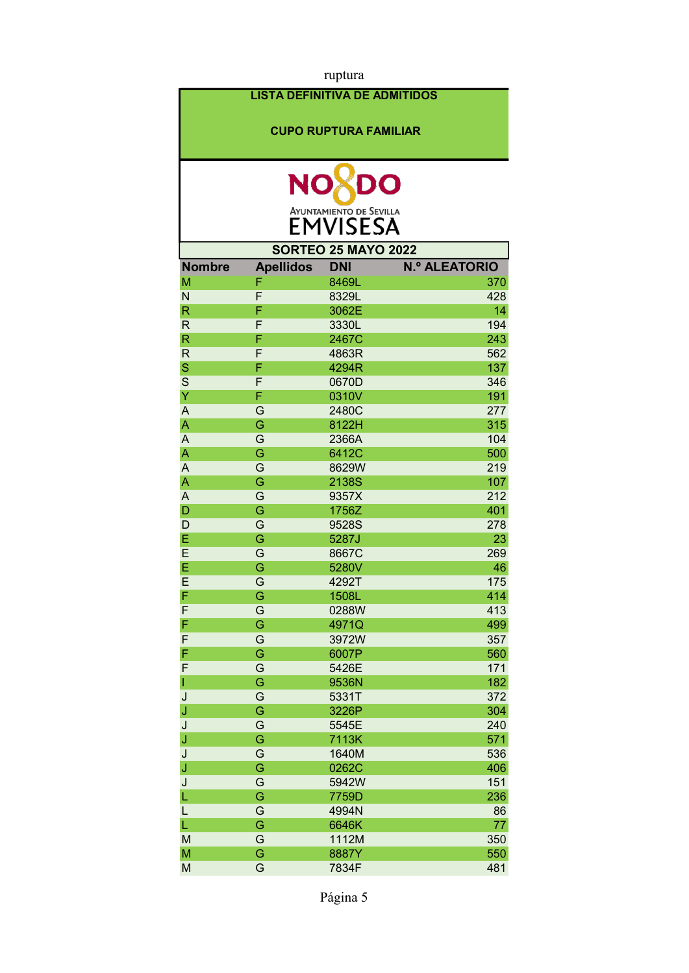|                         |                                      | ruptura                                           |                      |
|-------------------------|--------------------------------------|---------------------------------------------------|----------------------|
|                         | <b>LISTA DEFINITIVA DE ADMITIDOS</b> |                                                   |                      |
|                         |                                      | <b>CUPO RUPTURA FAMILIAR</b>                      |                      |
|                         | <b>NC</b>                            | DO                                                |                      |
|                         |                                      | <b>AYUNTAMIENTO DE SEVILLA</b><br><b>EMVISESA</b> |                      |
|                         |                                      | <b>SORTEO 25 MAYO 2022</b>                        |                      |
| <b>Nombre</b>           | <b>Apellidos</b>                     | <b>DNI</b>                                        | <b>N.º ALEATORIO</b> |
| M                       | F                                    | 8469L                                             | 370                  |
| N                       | F                                    | 8329L                                             | 428                  |
| $\overline{\mathsf{R}}$ | F                                    | 3062E                                             | 14                   |
| $\mathsf{R}$            | F                                    | 3330L                                             | 194                  |
| $\mathsf{R}$            | F                                    | 2467C                                             | 243                  |
| $\mathsf{R}$            | F                                    | 4863R                                             | 562                  |
| $\mathbf S$             | F                                    | 4294R                                             | 137                  |
| S                       | F                                    | 0670D                                             | 346                  |
| Ÿ                       | F                                    | 0310V                                             | 191                  |
| A                       | G                                    | 2480C                                             | 277                  |
| A                       | G                                    | 8122H                                             | 315                  |
| A                       | G                                    | 2366A                                             | 104                  |
| A                       | G                                    | 6412C                                             | 500                  |
| $\overline{A}$          | G                                    | 8629W                                             | 219                  |
| A                       | G                                    | 2138S                                             | 107                  |
| A                       | G                                    | 9357X                                             | 212                  |
| D                       | G                                    | 1756Z                                             | 401                  |
| D                       | G                                    | 9528S                                             | 278                  |
| E                       | G                                    | 5287J                                             | 23                   |
| E                       |                                      |                                                   |                      |
|                         | G                                    | 8667C                                             | 269                  |
| E                       | G                                    | 5280V                                             | 46                   |
| E                       | G                                    | 4292T                                             | 175                  |
| F                       | G                                    | 1508L                                             | 414                  |
| F                       | G                                    | 0288W                                             | 413                  |
| F                       | G                                    | 4971Q                                             | 499                  |
| F                       | G                                    | 3972W                                             | 357                  |
| F                       | G                                    | 6007P                                             | 560                  |
| F                       | G                                    | 5426E                                             | 171                  |
| ı                       | G                                    | 9536N                                             | 182                  |
| J                       | G                                    | 5331T                                             | 372                  |
| J                       | G                                    | 3226P                                             | 304                  |
| J                       | G                                    | 5545E                                             | 240                  |
| J                       | G                                    | 7113K                                             | 571                  |
| J                       | G                                    | 1640M                                             | 536                  |
| J                       | Ġ                                    | 0262C                                             | 406                  |
| J                       | G                                    | 5942W                                             | 151                  |
| L                       | G                                    | 7759D                                             | 236                  |
| L                       | G                                    | 4994N                                             | 86                   |
| L                       | G                                    | 6646K                                             | 77                   |
| M                       | G                                    | 1112M                                             | 350                  |
| M                       | G                                    | 8887Y                                             | 550                  |
| M                       | G                                    | 7834F                                             | 481                  |
|                         |                                      |                                                   |                      |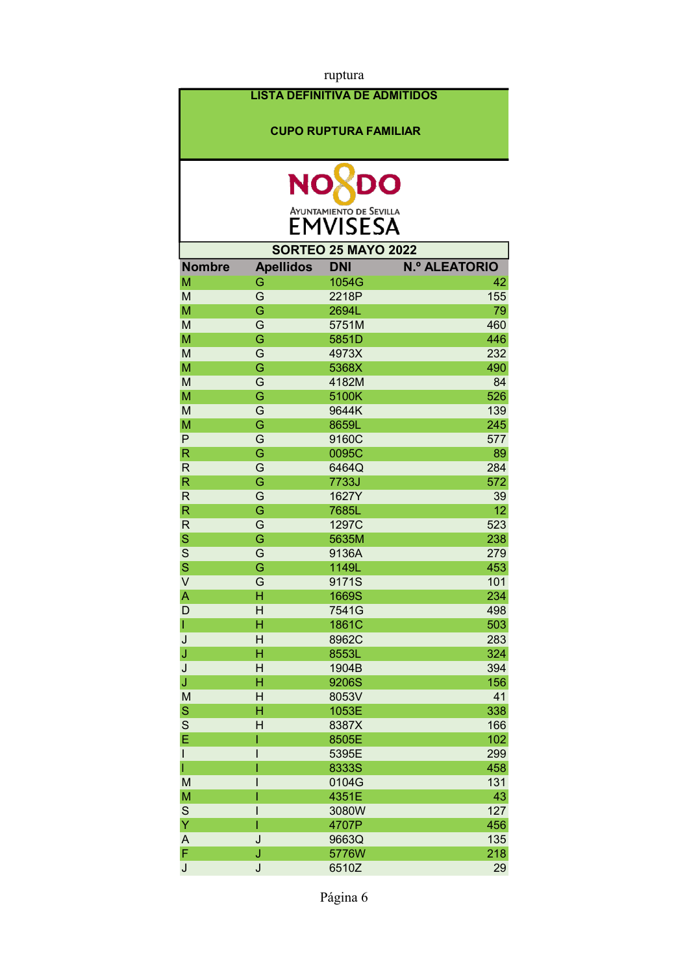|                                                                                                                                                                                                                                                                                                                                                                                                                                                          |                                      | ruptura                        |                      |
|----------------------------------------------------------------------------------------------------------------------------------------------------------------------------------------------------------------------------------------------------------------------------------------------------------------------------------------------------------------------------------------------------------------------------------------------------------|--------------------------------------|--------------------------------|----------------------|
|                                                                                                                                                                                                                                                                                                                                                                                                                                                          | <b>LISTA DEFINITIVA DE ADMITIDOS</b> |                                |                      |
|                                                                                                                                                                                                                                                                                                                                                                                                                                                          |                                      | <b>CUPO RUPTURA FAMILIAR</b>   |                      |
|                                                                                                                                                                                                                                                                                                                                                                                                                                                          |                                      |                                |                      |
|                                                                                                                                                                                                                                                                                                                                                                                                                                                          | <b>NO</b>                            | DO                             |                      |
|                                                                                                                                                                                                                                                                                                                                                                                                                                                          |                                      |                                |                      |
|                                                                                                                                                                                                                                                                                                                                                                                                                                                          |                                      | <b>AYUNTAMIENTO DE SEVILLA</b> |                      |
|                                                                                                                                                                                                                                                                                                                                                                                                                                                          |                                      | EMVISESA                       |                      |
|                                                                                                                                                                                                                                                                                                                                                                                                                                                          |                                      | <b>SORTEO 25 MAYO 2022</b>     |                      |
| <b>Nombre</b>                                                                                                                                                                                                                                                                                                                                                                                                                                            | <b>Apellidos</b>                     | <b>DNI</b>                     | <b>N.º ALEATORIO</b> |
| M                                                                                                                                                                                                                                                                                                                                                                                                                                                        | G                                    | 1054G                          | 42                   |
| M                                                                                                                                                                                                                                                                                                                                                                                                                                                        | G                                    | 2218P                          | 155                  |
| M                                                                                                                                                                                                                                                                                                                                                                                                                                                        | Ġ                                    | 2694L                          | 79                   |
| M                                                                                                                                                                                                                                                                                                                                                                                                                                                        | G                                    | 5751M                          | 460                  |
| M                                                                                                                                                                                                                                                                                                                                                                                                                                                        | Ġ                                    | 5851D                          | 446                  |
| M<br>M                                                                                                                                                                                                                                                                                                                                                                                                                                                   | G<br>G                               | 4973X<br>5368X                 | 232<br>490           |
| M                                                                                                                                                                                                                                                                                                                                                                                                                                                        | G                                    | 4182M                          | 84                   |
| M                                                                                                                                                                                                                                                                                                                                                                                                                                                        | Ġ                                    | 5100K                          | 526                  |
| M                                                                                                                                                                                                                                                                                                                                                                                                                                                        | G                                    | 9644K                          | 139                  |
| M                                                                                                                                                                                                                                                                                                                                                                                                                                                        | Ġ                                    | 8659L                          | 245                  |
| P                                                                                                                                                                                                                                                                                                                                                                                                                                                        | G                                    | 9160C                          | 577                  |
| $\mathsf R$                                                                                                                                                                                                                                                                                                                                                                                                                                              | G                                    | 0095C                          | 89                   |
| $\mathsf{R}$                                                                                                                                                                                                                                                                                                                                                                                                                                             | G                                    | 6464Q                          | 284                  |
| $\mathsf{R}$                                                                                                                                                                                                                                                                                                                                                                                                                                             | G                                    | 7733J                          | 572                  |
| $\mathsf{R}$                                                                                                                                                                                                                                                                                                                                                                                                                                             | G                                    | 1627Y                          | 39                   |
| $\mathsf{R}$                                                                                                                                                                                                                                                                                                                                                                                                                                             | Ġ                                    | 7685L                          | 12                   |
| $\mathsf{R}$                                                                                                                                                                                                                                                                                                                                                                                                                                             | G                                    | 1297C                          | 523                  |
| S                                                                                                                                                                                                                                                                                                                                                                                                                                                        | Ġ                                    | 5635M                          | 238                  |
| S                                                                                                                                                                                                                                                                                                                                                                                                                                                        | G                                    | 9136A                          | 279                  |
| S                                                                                                                                                                                                                                                                                                                                                                                                                                                        | Ġ                                    | 1149L                          | 453                  |
| V                                                                                                                                                                                                                                                                                                                                                                                                                                                        | G                                    | 9171S                          | 101                  |
| A                                                                                                                                                                                                                                                                                                                                                                                                                                                        | н                                    | 1669S                          | 234                  |
| D                                                                                                                                                                                                                                                                                                                                                                                                                                                        | H                                    | 7541G                          | 498                  |
| L                                                                                                                                                                                                                                                                                                                                                                                                                                                        | H                                    | 1861C                          | 503                  |
| J                                                                                                                                                                                                                                                                                                                                                                                                                                                        | H                                    | 8962C                          | 283                  |
| J                                                                                                                                                                                                                                                                                                                                                                                                                                                        | H                                    | 8553L                          | 324                  |
| J                                                                                                                                                                                                                                                                                                                                                                                                                                                        | H                                    | 1904B                          | 394                  |
| J                                                                                                                                                                                                                                                                                                                                                                                                                                                        | H                                    | 9206S                          | 156                  |
| M                                                                                                                                                                                                                                                                                                                                                                                                                                                        | H                                    | 8053V                          | 41                   |
| $\mathbf S$                                                                                                                                                                                                                                                                                                                                                                                                                                              | H                                    | 1053E                          | 338                  |
| $\mathsf S$                                                                                                                                                                                                                                                                                                                                                                                                                                              | H                                    | 8387X                          | 166                  |
| E                                                                                                                                                                                                                                                                                                                                                                                                                                                        | I                                    | 8505E                          | 102                  |
|                                                                                                                                                                                                                                                                                                                                                                                                                                                          |                                      | 5395E                          | 299                  |
|                                                                                                                                                                                                                                                                                                                                                                                                                                                          |                                      | 8333S                          | 458                  |
| M                                                                                                                                                                                                                                                                                                                                                                                                                                                        |                                      | 0104G                          | 131                  |
| M                                                                                                                                                                                                                                                                                                                                                                                                                                                        |                                      | 4351E                          | 43                   |
| $\mathsf{S}% _{T}=\mathsf{S}_{T}\!\left( a,b\right) ,\ \mathsf{S}_{T}=\mathsf{S}_{T}\!\left( a,b\right) ,\ \mathsf{S}_{T}=\mathsf{S}_{T}\!\left( a,b\right) ,\ \mathsf{S}_{T}=\mathsf{S}_{T}\!\left( a,b\right) ,\ \mathsf{S}_{T}=\mathsf{S}_{T}\!\left( a,b\right) ,\ \mathsf{S}_{T}=\mathsf{S}_{T}\!\left( a,b\right) ,\ \mathsf{S}_{T}=\mathsf{S}_{T}\!\left( a,b\right) ,\ \mathsf{S}_{T}=\mathsf{S}_{T}\!\left( a,b\right) ,\ \mathsf{S}_{T}=\math$ | I<br>I                               | 3080W                          | 127                  |
| Ÿ<br>A                                                                                                                                                                                                                                                                                                                                                                                                                                                   | J                                    | 4707P                          | 456<br>135           |
| F                                                                                                                                                                                                                                                                                                                                                                                                                                                        | J                                    | 9663Q<br>5776W                 | 218                  |
| J                                                                                                                                                                                                                                                                                                                                                                                                                                                        | J                                    | 6510Z                          | 29                   |
|                                                                                                                                                                                                                                                                                                                                                                                                                                                          |                                      |                                |                      |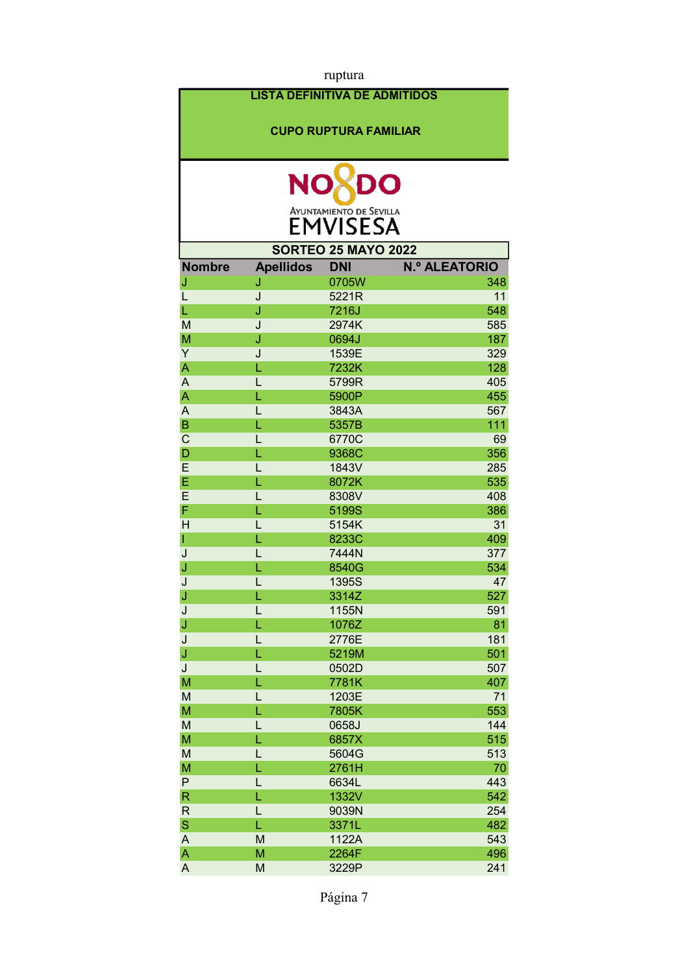| ruptura        |                                      |                                |                      |
|----------------|--------------------------------------|--------------------------------|----------------------|
|                | <b>LISTA DEFINITIVA DE ADMITIDOS</b> |                                |                      |
|                |                                      |                                |                      |
|                |                                      | <b>CUPO RUPTURA FAMILIAR</b>   |                      |
|                |                                      |                                |                      |
|                |                                      |                                |                      |
|                | <b>NO</b>                            | DO                             |                      |
|                |                                      | <b>AYUNTAMIENTO DE SEVILLA</b> |                      |
|                |                                      | <b>EMVISESA</b>                |                      |
|                |                                      | <b>SORTEO 25 MAYO 2022</b>     |                      |
| <b>Nombre</b>  | <b>Apellidos</b>                     | <b>DNI</b>                     | <b>N.º ALEATORIO</b> |
| J              | J                                    | 0705W                          | 348                  |
| L              | J                                    | 5221R                          | 11                   |
| L              | J                                    | 7216J                          | 548                  |
| M              | J                                    | 2974K                          | 585                  |
| M              | J                                    | 0694J                          | 187                  |
| Y              | J                                    | 1539E                          | 329                  |
| A              | L                                    | 7232K                          | 128                  |
| $\overline{A}$ | L                                    | 5799R                          | 405                  |
| A              | L                                    | 5900P                          | 455                  |
| $\overline{A}$ | L                                    | 3843A                          | 567                  |
| $\overline{B}$ | L                                    | 5357B                          | 111                  |
| $\mathsf{C}$   | L                                    | 6770C                          | 69                   |
| D              | L                                    | 9368C                          | 356                  |
| E              | L                                    | 1843V                          | 285                  |
| E              | Ĺ                                    | 8072K                          | 535                  |
| E              | L                                    | 8308V                          | 408                  |
| F              | Ĺ                                    | 5199S                          | 386                  |
| H              | L                                    | 5154K                          | 31                   |
| I              | L                                    | 8233C                          | 409                  |
| J              | L                                    | 7444N                          | 377<br>534           |
| J<br>J         | L<br>L                               | 8540G<br>1395S                 | 47                   |
|                | L                                    | 3314Z                          | 527                  |
| J<br>J         | L                                    | 1155N                          | 591                  |
| J              | L                                    | 1076Z                          | 81                   |
| J              | L                                    | 2776E                          | 181                  |
| J              | Ĺ                                    | 5219M                          | 501                  |
| J              | L                                    | 0502D                          | 507                  |
| M              | L                                    | 7781K                          | 407                  |
| M              | L                                    | 1203E                          | 71                   |
| M              | Ĺ                                    | 7805K                          | 553                  |
| M              | L                                    | 0658J                          | 144                  |
| M              | Ĺ                                    | 6857X                          | 515                  |
| M              | L                                    | 5604G                          | 513                  |
| M              | Ĺ                                    | 2761H                          | 70                   |
| $\mathsf{P}$   | L                                    | 6634L                          | 443                  |
| $\mathsf{R}$   | L                                    | 1332V                          | 542                  |
| $\mathsf{R}$   | L                                    | 9039N                          | 254                  |
| $\mathbf S$    | L                                    | 3371L                          | 482                  |
| A              | M                                    | 1122A                          | 543                  |
| A              | M                                    | 2264F                          | 496                  |
| A              | M                                    | 3229P                          | 241                  |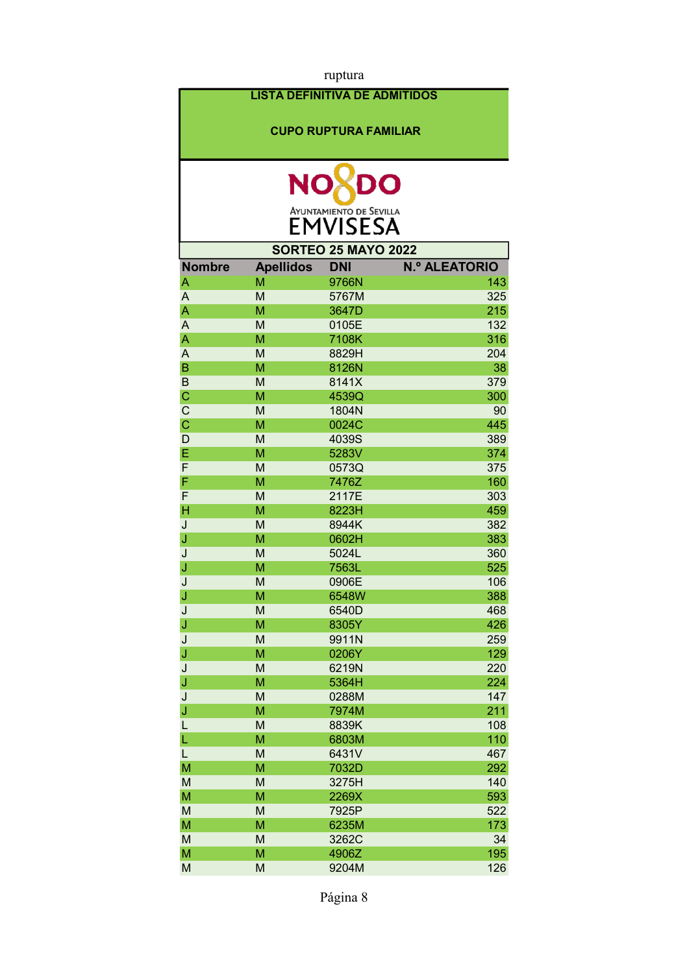| ruptura        |                                      |                                |                      |
|----------------|--------------------------------------|--------------------------------|----------------------|
|                | <b>LISTA DEFINITIVA DE ADMITIDOS</b> |                                |                      |
|                |                                      |                                |                      |
|                |                                      | <b>CUPO RUPTURA FAMILIAR</b>   |                      |
|                |                                      |                                |                      |
|                |                                      |                                |                      |
|                | <b>NO</b>                            | DO                             |                      |
|                |                                      | <b>AYUNTAMIENTO DE SEVILLA</b> |                      |
|                |                                      | <b>EMVISESA</b>                |                      |
|                |                                      | <b>SORTEO 25 MAYO 2022</b>     |                      |
| <b>Nombre</b>  | <b>Apellidos</b>                     | <b>DNI</b>                     | <b>N.º ALEATORIO</b> |
| A              | M                                    | 9766N                          | 143                  |
| A              | M                                    | 5767M                          | 325                  |
| A              | M                                    | 3647D                          | 215                  |
| $\overline{A}$ | M                                    | 0105E                          | 132                  |
| A              | M                                    | 7108K                          | 316                  |
| $\overline{A}$ | M                                    | 8829H                          | 204                  |
| B              | M                                    | 8126N                          | 38                   |
| $\mathsf B$    | M                                    | 8141X                          | 379                  |
| $\mathbf C$    | M                                    | 4539Q                          | 300                  |
| $\mathsf{C}$   | M                                    | 1804N                          | 90                   |
| $\mathbf C$    | M                                    | 0024C                          | 445                  |
| D              | M                                    | 4039S                          | 389                  |
| E              | M                                    | 5283V                          | 374                  |
| F              | M                                    | 0573Q                          | 375                  |
| F              | M                                    | 7476Z                          | 160                  |
| F              | M                                    | 2117E                          | 303                  |
| Н              | M                                    | 8223H                          | 459                  |
| J              | M                                    | 8944K                          | 382                  |
| J              | M                                    | 0602H                          | 383                  |
| J              | M                                    | 5024L                          | 360                  |
| J              | M                                    | 7563L                          | 525                  |
| J              | M                                    | 0906E                          | 106                  |
| J              | M                                    | 6548W                          | 388                  |
| J              | M                                    | 6540D                          | 468                  |
| J              | M                                    | 8305Y                          | 426                  |
| J              | M                                    | 9911N                          | 259                  |
| J              | M                                    | 0206Y                          | 129                  |
| J              | M                                    | 6219N                          | 220                  |
| J              | M                                    | 5364H                          | 224                  |
| J              | M                                    | 0288M                          | 147                  |
| J              | M                                    | 7974M                          | 211                  |
| L              | M                                    | 8839K                          | 108                  |
| L              | M                                    | 6803M                          | 110                  |
| L<br>M         | M<br>M                               | 6431V                          | 467                  |
|                | M                                    | 7032D                          | 292<br>140           |
| M              | M                                    | 3275H                          | 593                  |
| M              | M                                    | 2269X                          |                      |
| M<br>M         | M                                    | 7925P<br>6235M                 | 522<br>173           |
| M              | M                                    | 3262C                          | 34                   |
| M              | M                                    | 4906Z                          | 195                  |
| M              | M                                    | 9204M                          | 126                  |
|                |                                      |                                |                      |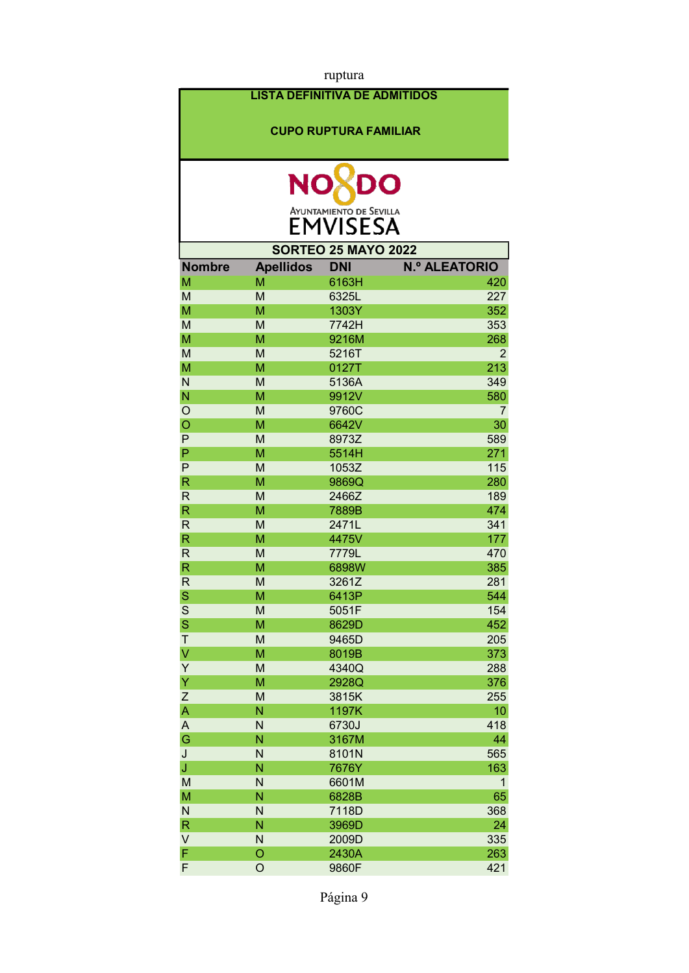| ruptura          |                                      |                                                   |                      |
|------------------|--------------------------------------|---------------------------------------------------|----------------------|
|                  | <b>LISTA DEFINITIVA DE ADMITIDOS</b> |                                                   |                      |
|                  |                                      |                                                   |                      |
|                  |                                      | <b>CUPO RUPTURA FAMILIAR</b>                      |                      |
|                  |                                      |                                                   |                      |
|                  | <b>NO</b>                            | DO                                                |                      |
|                  |                                      | <b>AYUNTAMIENTO DE SEVILLA</b><br><b>EMVISESA</b> |                      |
|                  |                                      |                                                   |                      |
|                  |                                      | <b>SORTEO 25 MAYO 2022</b>                        |                      |
| <b>Nombre</b>    | <b>Apellidos</b>                     | <b>DNI</b>                                        | <b>N.º ALEATORIO</b> |
| M                | M                                    | 6163H                                             | 420<br>227           |
| M                | M<br>M                               | 6325L<br>1303Y                                    | 352                  |
| M<br>M           | M                                    | 7742H                                             | 353                  |
| M                | M                                    | 9216M                                             | 268                  |
| M                | M                                    | 5216T                                             | $\overline{2}$       |
| M                | M                                    | 0127T                                             | 213                  |
| N                | M                                    | 5136A                                             | 349                  |
| N                | M                                    | 9912V                                             | 580                  |
| $\circ$          | M                                    | 9760C                                             | 7                    |
| $\circ$          | M                                    | 6642V                                             | 30                   |
| P                | M                                    | 8973Z                                             | 589                  |
| $\mathsf{P}$     | M                                    | 5514H                                             | 271                  |
| P                | M                                    | 1053Z                                             | 115                  |
| $\mathsf{R}$     | M                                    | 9869Q                                             | 280                  |
| $\mathsf{R}$     | M                                    | 2466Z                                             | 189                  |
| $\mathsf{R}$     | M                                    | 7889B                                             | 474                  |
| $\mathsf{R}$     | M                                    | 2471L                                             | 341                  |
| $\mathsf{R}$     | M                                    | 4475V                                             | 177                  |
| $\mathsf{R}$     | M                                    | 7779L                                             | 470                  |
| R                | M                                    | 6898W                                             | 385                  |
| R                | M                                    | 3261Z                                             | 281                  |
| S                | M                                    | 6413P                                             | 544                  |
| $\mathbf S$      | M                                    | 5051F                                             | 154                  |
| S                | M                                    | 8629D                                             | 452                  |
| T                | M                                    | 9465D                                             | 205                  |
| V                | M                                    | 8019B                                             | 373                  |
| Y                | M                                    | 4340Q                                             | 288                  |
| Y                | M                                    | 2928Q                                             | 376                  |
| $\boldsymbol{Z}$ | M                                    | 3815K                                             | 255                  |
| A                | N                                    | 1197K                                             | 10                   |
| A                | N                                    | 6730J                                             | 418                  |
| G                | Ñ                                    | 3167M                                             | 44                   |
| J                | N                                    | 8101N                                             | 565                  |
| J                | Ñ                                    | 7676Y                                             | 163                  |
| M                | N                                    | 6601M                                             | $\mathbf{1}$         |
| M                | Ñ                                    | 6828B                                             | 65                   |
| $\mathsf{N}$     | N                                    | 7118D                                             | 368                  |
| $\mathsf R$      | N                                    | 3969D                                             | 24                   |
| V                | N                                    | 2009D                                             | 335                  |
| F                | $\circ$                              | 2430A                                             | 263                  |
| F                | O                                    | 9860F                                             | 421                  |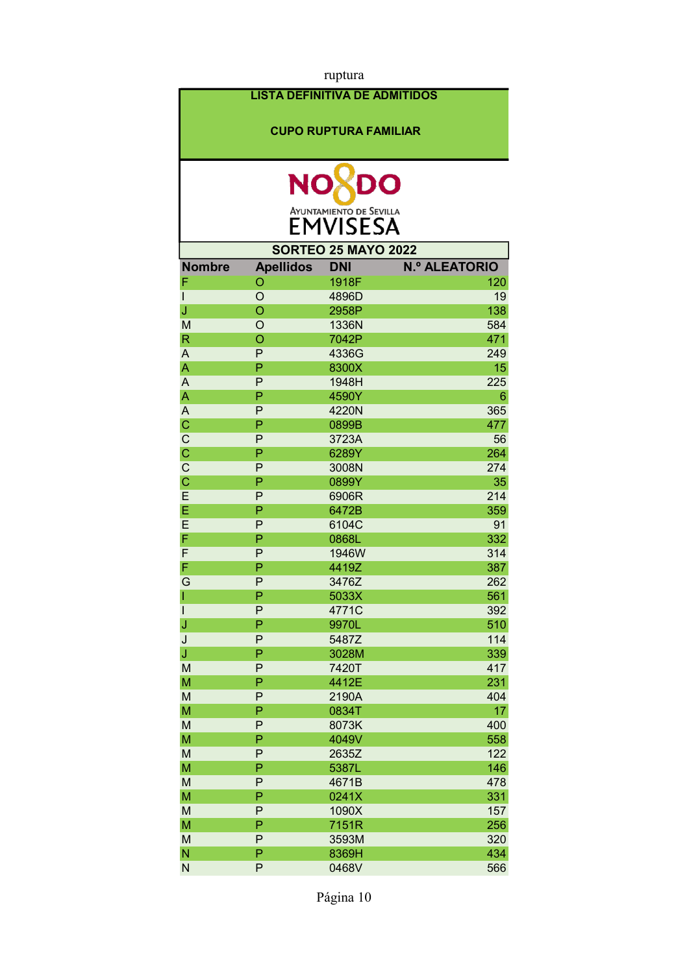|               |                                      | ruptura                        |                      |
|---------------|--------------------------------------|--------------------------------|----------------------|
|               | <b>LISTA DEFINITIVA DE ADMITIDOS</b> |                                |                      |
|               |                                      | <b>CUPO RUPTURA FAMILIAR</b>   |                      |
|               |                                      |                                |                      |
|               | NC                                   | DO                             |                      |
|               |                                      | <b>AYUNTAMIENTO DE SEVILLA</b> |                      |
|               |                                      | <b>EMVISESA</b>                |                      |
|               |                                      | <b>SORTEO 25 MAYO 2022</b>     |                      |
| <b>Nombre</b> | <b>Apellidos</b>                     | <b>DNI</b>                     | <b>N.º ALEATORIO</b> |
| F             | O                                    | 1918F                          | 120                  |
| I             | $\overline{O}$                       | 4896D                          | 19                   |
| J             | $\overline{O}$                       | 2958P                          | 138                  |
| M             | O                                    | 1336N                          | 584                  |
| $\mathsf{R}$  | O                                    | 7042P                          | 471                  |
| A             | P                                    | 4336G                          | 249                  |
| A             | P                                    | 8300X                          | 15                   |
| A             | P                                    | 1948H                          | 225                  |
| A             | P                                    | 4590Y                          | 6                    |
| A             | P                                    | 4220N                          | 365                  |
| $\mathsf{C}$  | P                                    | 0899B                          | 477                  |
| $\mathsf C$   | P                                    | 3723A                          | 56                   |
| Ċ             | P                                    | 6289Y                          | 264                  |
| $\mathsf{C}$  | P                                    | 3008N                          | 274                  |
| Ċ             | P                                    | 0899Y                          | 35                   |
| E             | P                                    | 6906R                          | 214                  |
| E             | P                                    | 6472B                          | 359                  |
| E             | P                                    | 6104C                          | 91                   |
| F             | P                                    | 0868L                          | 332                  |
| F             | P                                    | 1946W                          | 314                  |
| F             | P                                    | 4419Z                          | 387                  |
| G             | $\sf P$                              | 3476Z                          | 262                  |
| ı             | P                                    | 5033X                          | 561                  |
| $\mathsf{l}$  | P                                    | 4771C                          | 392                  |
| J             | P                                    | 9970L                          | 510                  |
| J             | P                                    | 5487Z                          | 114                  |
| J             | P                                    | 3028M                          | 339                  |
| M             | P                                    | 7420T                          | 417                  |
| M             | P                                    | 4412E                          | 231                  |
| M             | P                                    | 2190A                          | 404                  |
| M             | P<br>P                               | 0834T                          | 17                   |
| M             | P                                    | 8073K                          | 400                  |
| M             |                                      | 4049V                          | 558                  |
| M<br>M        | P<br>P                               | 2635Z<br>5387L                 | 122<br>146           |
|               | P                                    |                                |                      |
| M             | P                                    | 4671B                          | 478                  |
| M             | P                                    | 0241X                          | 331<br>157           |
| M<br>M        | P                                    | 1090X<br>7151R                 | 256                  |
| M             | P                                    |                                |                      |
| N             | P                                    | 3593M<br>8369H                 | 320<br>434           |
| N             | P                                    | 0468V                          | 566                  |
|               |                                      |                                |                      |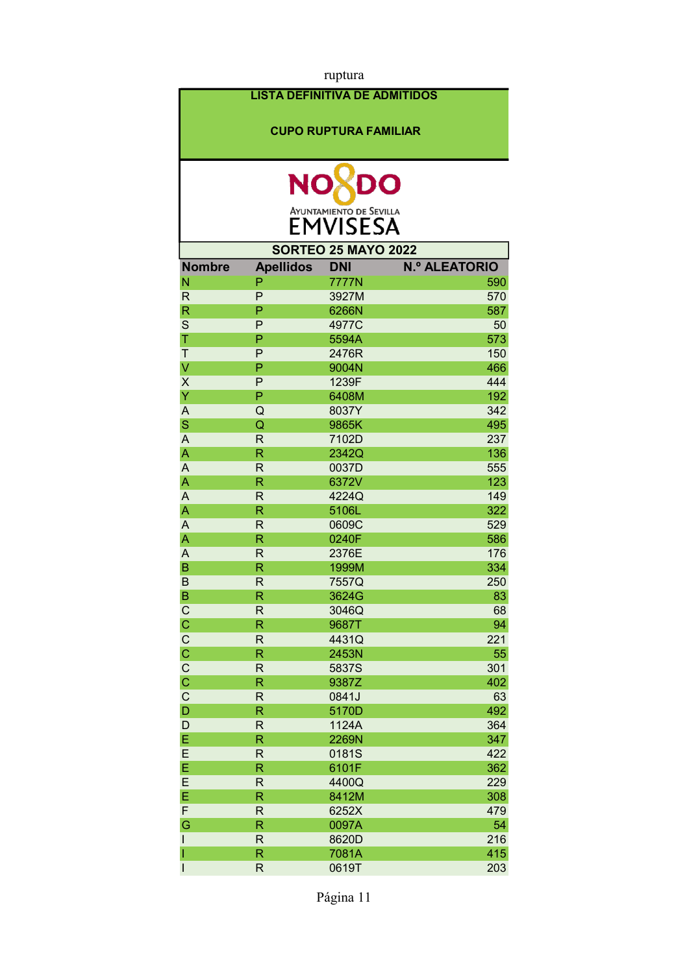| ruptura                 |                         |                                      |                      |
|-------------------------|-------------------------|--------------------------------------|----------------------|
|                         |                         | <b>LISTA DEFINITIVA DE ADMITIDOS</b> |                      |
|                         |                         |                                      |                      |
|                         |                         | <b>CUPO RUPTURA FAMILIAR</b>         |                      |
|                         |                         |                                      |                      |
|                         |                         |                                      |                      |
|                         | <b>NO</b>               | DO                                   |                      |
|                         |                         |                                      |                      |
|                         |                         | <b>AYUNTAMIENTO DE SEVILLA</b>       |                      |
|                         |                         | <b>EMVISESA</b>                      |                      |
|                         |                         | <b>SORTEO 25 MAYO 2022</b>           |                      |
| <b>Nombre</b>           | <b>Apellidos</b>        | <b>DNI</b>                           | <b>N.º ALEATORIO</b> |
| N                       | P                       | 7777N                                | 590                  |
| $\mathsf{R}$            | P                       | 3927M                                | 570                  |
| $\overline{\mathsf{R}}$ | P                       | 6266N                                | 587                  |
| S                       | P                       | 4977C                                | 50                   |
| T                       | P                       | 5594A                                | 573                  |
| $\mathsf T$             | P                       | 2476R                                | 150                  |
| $\vee$                  | P                       | 9004N                                | 466                  |
| $\sf X$                 | P                       | 1239F                                | 444                  |
| Ÿ                       | P                       | 6408M                                | 192                  |
| $\overline{\mathsf{A}}$ | Q                       | 8037Y                                | 342                  |
| S                       | Q                       | 9865K                                | 495                  |
| $\overline{A}$          | R                       | 7102D                                | 237                  |
| A                       | R                       | 2342Q                                | 136                  |
| $\overline{A}$          | R                       | 0037D                                | 555                  |
| A                       | R                       | 6372V                                | 123                  |
| $\overline{A}$          | R                       | 4224Q                                | 149                  |
| $\overline{\mathsf{A}}$ | R                       | 5106L                                | 322                  |
| $\overline{A}$          | $\mathsf{R}$            | 0609C                                | 529                  |
| A                       | R                       | 0240F                                | 586                  |
| A                       | $\mathsf{R}$            | 2376E                                | 176                  |
| B                       | R                       | 1999M                                | 334                  |
| B                       | R                       | 7557Q                                | 250                  |
| B                       | R                       | 3624G                                | 83                   |
| $\overline{C}$          | $\mathsf R$             | 3046Q                                | 68                   |
| $\overline{C}$          | R                       | 9687T                                | 94                   |
| $\overline{C}$          | $\mathsf R$             | 4431Q                                | 221<br>55            |
| $\frac{C}{C}$           | R<br>R                  | 2453N<br>5837S                       | 301                  |
|                         | R                       | 9387Z                                | 402                  |
| $\frac{C}{C}$           | $\mathsf{R}$            | 0841J                                | 63                   |
| $\mathsf{D}$            | $\overline{\mathsf{R}}$ | 5170D                                | 492                  |
| D                       | $\mathsf{R}$            | 1124A                                | 364                  |
| E                       | $\overline{\mathsf{R}}$ | 2269N                                | 347                  |
| E                       | $\mathsf R$             | 0181S                                | 422                  |
| E                       | $\overline{\mathsf{R}}$ | 6101F                                | 362                  |
| E                       | $\mathsf{R}$            | 4400Q                                | 229                  |
| E                       | R                       | 8412M                                | 308                  |
| F                       | $\mathsf R$             | 6252X                                | 479                  |
| G                       | R                       | 0097A                                | 54                   |
| ı                       | $\mathsf R$             | 8620D                                | 216                  |
| 1                       | R                       | 7081A                                | 415                  |
| $\mathsf{l}$            | R                       | 0619T                                | 203                  |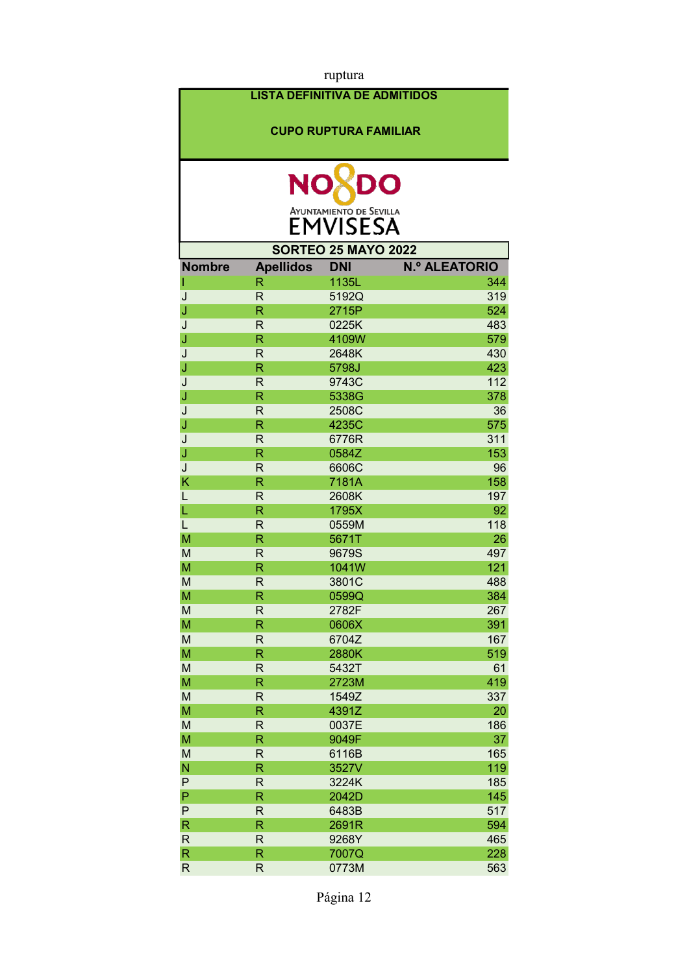| ruptura       |                         |                                      |                      |
|---------------|-------------------------|--------------------------------------|----------------------|
|               |                         | <b>LISTA DEFINITIVA DE ADMITIDOS</b> |                      |
|               |                         |                                      |                      |
|               |                         | <b>CUPO RUPTURA FAMILIAR</b>         |                      |
|               |                         |                                      |                      |
|               |                         |                                      |                      |
|               | <b>NO</b>               | DO                                   |                      |
|               |                         |                                      |                      |
|               |                         | <b>AYUNTAMIENTO DE SEVILLA</b>       |                      |
|               |                         | <b>EMVISESA</b>                      |                      |
|               |                         | <b>SORTEO 25 MAYO 2022</b>           |                      |
| <b>Nombre</b> | <b>Apellidos</b>        | <b>DNI</b>                           | <b>N.º ALEATORIO</b> |
| I             | R                       | 1135L                                | 344                  |
| J             | $\overline{\mathsf{R}}$ | 5192Q                                | 319                  |
| J             | R                       | 2715P                                | 524                  |
| J             | $\mathsf{R}$            | 0225K                                | 483                  |
| J             | R                       | 4109W                                | 579                  |
| J             | R                       | 2648K                                | 430                  |
| J             | R                       | 5798J                                | 423                  |
| J             | R                       | 9743C                                | 112                  |
| J             | R                       | 5338G                                | 378                  |
| J             | $\mathsf{R}$            | 2508C                                | 36                   |
| J             | R                       | 4235C                                | 575                  |
| J             | $\mathsf{R}$            | 6776R                                | 311                  |
| J             | R                       | 0584Z                                | 153                  |
| J             | R                       | 6606C                                | 96                   |
| K             | R                       | 7181A                                | 158                  |
| L             | R                       | 2608K                                | 197                  |
| L             | R                       | 1795X                                | 92                   |
| L             | R                       | 0559M                                | 118                  |
| M             | R                       | 5671T                                | 26                   |
| M             | $\overline{\mathsf{R}}$ | 9679S                                | 497                  |
| M             | R                       | 1041W                                | 121                  |
| M             | R                       | 3801C                                | 488                  |
| M<br>M        | R<br>$\mathsf R$        | 0599Q                                | 384<br>267           |
| M             | $\overline{\mathsf{R}}$ | 2782F<br>0606X                       | 391                  |
| M             | $\mathsf R$             | 6704Z                                | 167                  |
| M             | R                       | 2880K                                | 519                  |
| M             | $\mathsf R$             | 5432T                                | 61                   |
| M             | R                       | 2723M                                | 419                  |
| M             | R                       | 1549Z                                | 337                  |
| M             | $\overline{\mathsf{R}}$ | 4391Z                                | 20                   |
| M             | R                       | 0037E                                | 186                  |
| M             | $\overline{\mathsf{R}}$ | 9049F                                | 37                   |
| M             | $\mathsf R$             | 6116B                                | 165                  |
| N             | $\overline{\mathsf{R}}$ | 3527V                                | 119                  |
| P             | $\mathsf R$             | 3224K                                | 185                  |
| $\mathsf{P}$  | R                       | 2042D                                | 145                  |
| P             | $\mathsf R$             | 6483B                                | 517                  |
| $\mathsf{R}$  | $\overline{\mathsf{R}}$ | 2691R                                | 594                  |
| $\mathsf R$   | $\mathsf R$             | 9268Y                                | 465                  |
| $\mathsf R$   | R                       | 7007Q                                | 228                  |
| $\mathsf{R}$  | $\mathsf R$             | 0773M                                | 563                  |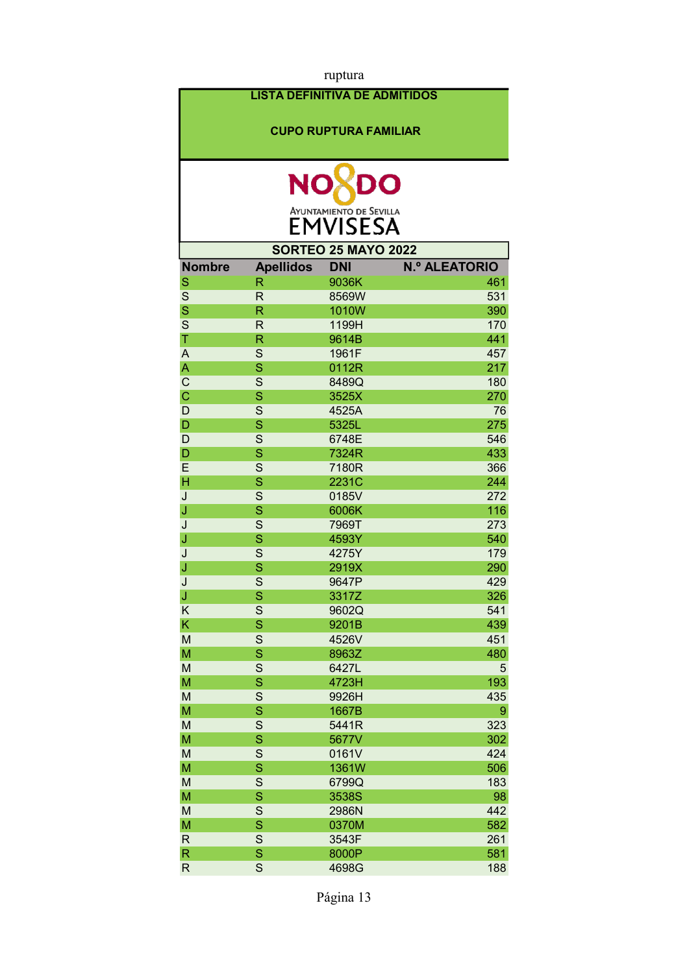|                            |                                      | ruptura                                           |                      |  |  |  |
|----------------------------|--------------------------------------|---------------------------------------------------|----------------------|--|--|--|
|                            | <b>LISTA DEFINITIVA DE ADMITIDOS</b> |                                                   |                      |  |  |  |
|                            |                                      | <b>CUPO RUPTURA FAMILIAR</b>                      |                      |  |  |  |
|                            |                                      |                                                   |                      |  |  |  |
|                            | <b>NO</b>                            | DO                                                |                      |  |  |  |
|                            |                                      | <b>AYUNTAMIENTO DE SEVILLA</b><br><b>EMVISESA</b> |                      |  |  |  |
| <b>SORTEO 25 MAYO 2022</b> |                                      |                                                   |                      |  |  |  |
| <b>Nombre</b>              | <b>Apellidos</b>                     | <b>DNI</b>                                        | <b>N.º ALEATORIO</b> |  |  |  |
| S                          | R                                    | 9036K                                             | 461                  |  |  |  |
| S                          | $\mathsf{R}$                         | 8569W                                             | 531                  |  |  |  |
| S                          | $\mathsf{R}$                         | 1010W                                             | 390                  |  |  |  |
| S                          | $\mathsf{R}$                         | 1199H                                             | 170                  |  |  |  |
| T                          | R                                    | 9614B                                             | 441                  |  |  |  |
| $\overline{A}$             | S                                    | 1961F                                             | 457                  |  |  |  |
| $\overline{\mathsf{A}}$    | S                                    | 0112R                                             | 217                  |  |  |  |
| $\mathsf{C}$               | S                                    | 8489Q                                             | 180                  |  |  |  |
| $\mathbf C$                | S                                    | 3525X                                             | 270                  |  |  |  |
| D                          | S                                    | 4525A                                             | 76                   |  |  |  |
| D                          | S                                    | 5325L                                             | 275                  |  |  |  |
| D                          | S                                    | 6748E                                             | 546                  |  |  |  |
| D                          | S                                    | 7324R                                             | 433                  |  |  |  |
| E                          | S                                    | 7180R                                             | 366                  |  |  |  |
| $\overline{\mathsf{H}}$    | S                                    | 2231C                                             | 244                  |  |  |  |
| J                          | S                                    | 0185V                                             | 272                  |  |  |  |
| J                          | S                                    | 6006K                                             | 116                  |  |  |  |
| J                          | S                                    | 7969T                                             | 273                  |  |  |  |
| J                          | S                                    | 4593Y                                             | 540                  |  |  |  |
| J                          | S                                    | 4275Y                                             | 179                  |  |  |  |
| J                          | S                                    | 2919X                                             | 290                  |  |  |  |
| J                          | $\overline{S}$                       | 9647P                                             | 429                  |  |  |  |
| J                          | S                                    | 3317Z                                             | 326                  |  |  |  |
| Κ                          | S                                    | 9602Q                                             | 541                  |  |  |  |
| $\overline{\mathsf{K}}$    | $\overline{\mathbf{S}}$              | 9201B                                             | 439                  |  |  |  |
| M                          | S                                    | 4526V                                             | 451                  |  |  |  |
| M                          | S                                    | 8963Z                                             | 480                  |  |  |  |
| M                          | S                                    | 6427L                                             | 5                    |  |  |  |
| M                          | $\overline{\mathbf{S}}$              | 4723H                                             | 193                  |  |  |  |
| M                          | S                                    | 9926H                                             | 435                  |  |  |  |
| M                          | $\overline{\mathbf{S}}$              | 1667B                                             | 9                    |  |  |  |
| M                          | $\mathsf{S}$                         | 5441R                                             | 323                  |  |  |  |
| M                          | $\overline{\mathbf{S}}$              | 5677V                                             | 302                  |  |  |  |
| M                          | $\mathsf{S}$                         | 0161V                                             | 424                  |  |  |  |
| M                          | $\mathbf S$                          | 1361W                                             | 506                  |  |  |  |
| M                          | S                                    | 6799Q                                             | 183                  |  |  |  |
| M                          | $\mathbf S$                          | 3538S                                             | 98                   |  |  |  |
| M                          | S                                    | 2986N                                             | 442                  |  |  |  |
| M                          | $\overline{\mathbf{S}}$              | 0370M                                             | 582                  |  |  |  |
| $\mathsf{R}$               | S                                    | 3543F                                             | 261                  |  |  |  |
| $\mathsf R$                | S                                    | 8000P                                             | 581                  |  |  |  |
| $\mathsf{R}$               | S                                    | 4698G                                             | 188                  |  |  |  |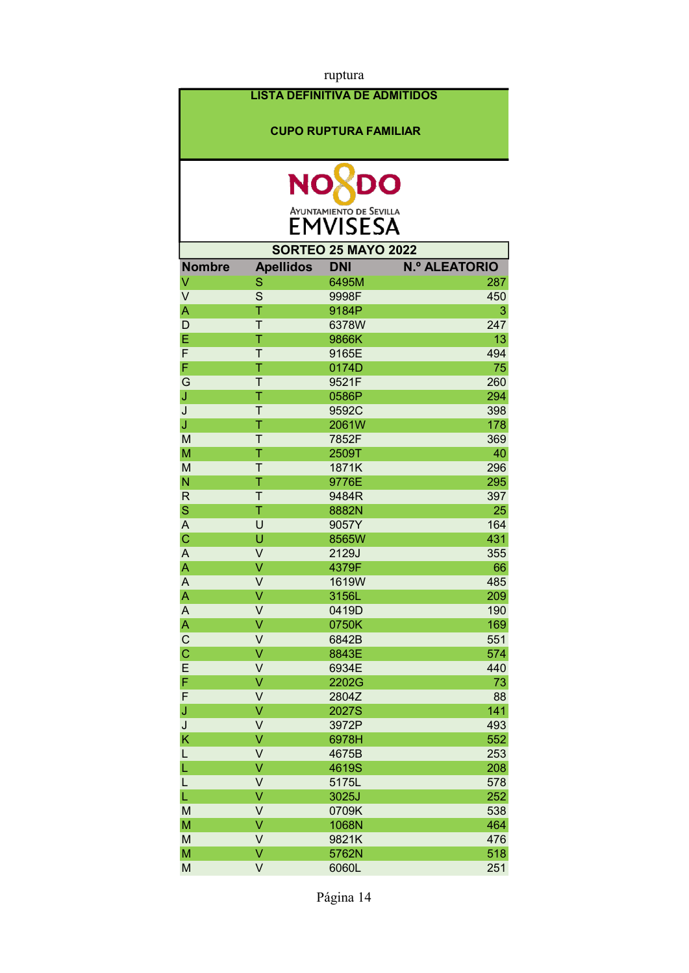| ruptura                              |                  |                |                      |  |  |  |  |  |
|--------------------------------------|------------------|----------------|----------------------|--|--|--|--|--|
| <b>LISTA DEFINITIVA DE ADMITIDOS</b> |                  |                |                      |  |  |  |  |  |
|                                      |                  |                |                      |  |  |  |  |  |
| <b>CUPO RUPTURA FAMILIAR</b>         |                  |                |                      |  |  |  |  |  |
|                                      |                  |                |                      |  |  |  |  |  |
|                                      |                  |                |                      |  |  |  |  |  |
| <b>NO</b><br>DO                      |                  |                |                      |  |  |  |  |  |
|                                      |                  |                |                      |  |  |  |  |  |
| <b>AYUNTAMIENTO DE SEVILLA</b>       |                  |                |                      |  |  |  |  |  |
| <b>EMVISESA</b>                      |                  |                |                      |  |  |  |  |  |
| <b>SORTEO 25 MAYO 2022</b>           |                  |                |                      |  |  |  |  |  |
| <b>Nombre</b>                        | <b>Apellidos</b> | <b>DNI</b>     | <b>N.º ALEATORIO</b> |  |  |  |  |  |
| V                                    | S                | 6495M          | 287                  |  |  |  |  |  |
| $\vee$                               | S                | 9998F          | 450                  |  |  |  |  |  |
| A                                    | T                | 9184P          | 3                    |  |  |  |  |  |
| D                                    | T                | 6378W          | 247                  |  |  |  |  |  |
| E                                    | T                | 9866K          | 13                   |  |  |  |  |  |
| F                                    | T                | 9165E          | 494                  |  |  |  |  |  |
| F                                    | T                | 0174D          | 75                   |  |  |  |  |  |
| G                                    | T                | 9521F          | 260                  |  |  |  |  |  |
| J                                    | Ť                | 0586P          | 294                  |  |  |  |  |  |
| J                                    | T                | 9592C          | 398                  |  |  |  |  |  |
| J                                    | Τ                | 2061W          | 178                  |  |  |  |  |  |
| M                                    | T                | 7852F          | 369                  |  |  |  |  |  |
| M                                    | T                | 2509T          | 40                   |  |  |  |  |  |
| M                                    | T                | 1871K          | 296                  |  |  |  |  |  |
| N                                    | T                | 9776E          | 295                  |  |  |  |  |  |
| $\mathsf{R}$                         | Τ                | 9484R          | 397                  |  |  |  |  |  |
| $\mathbf S$                          | T                | 8882N          | 25                   |  |  |  |  |  |
| A                                    | U                | 9057Y          | 164                  |  |  |  |  |  |
| $\mathsf{C}$<br>$\overline{A}$       | U<br>V           | 8565W          | 431                  |  |  |  |  |  |
| A                                    | V                | 2129J<br>4379F | 355<br>66            |  |  |  |  |  |
| A                                    | V                | 1619W          | 485                  |  |  |  |  |  |
| A                                    | V                | 3156L          | 209                  |  |  |  |  |  |
| A                                    | V                | 0419D          | 190                  |  |  |  |  |  |
| A                                    | V                | 0750K          | 169                  |  |  |  |  |  |
| $\mathsf{C}$                         | V                | 6842B          | 551                  |  |  |  |  |  |
| $\mathsf{C}$                         | V                | 8843E          | 574                  |  |  |  |  |  |
| E                                    | V                | 6934E          | 440                  |  |  |  |  |  |
| F                                    | V                | 2202G          | 73                   |  |  |  |  |  |
| F                                    | V                | 2804Z          | 88                   |  |  |  |  |  |
| J                                    | V                | 2027S          | 141                  |  |  |  |  |  |
| J                                    | V                | 3972P          | 493                  |  |  |  |  |  |
| K                                    | V                | 6978H          | 552                  |  |  |  |  |  |
| L                                    | V                | 4675B          | 253                  |  |  |  |  |  |
| L                                    | V                | 4619S          | 208                  |  |  |  |  |  |
| L                                    | V                | 5175L          | 578                  |  |  |  |  |  |
| L                                    | V                | 3025J          | 252                  |  |  |  |  |  |
| M                                    | V                | 0709K          | 538                  |  |  |  |  |  |
| M                                    | V                | 1068N          | 464                  |  |  |  |  |  |
| M                                    | V<br>V           | 9821K          | 476                  |  |  |  |  |  |
| M                                    |                  | 5762N          | 518                  |  |  |  |  |  |
| M                                    | V                | 6060L          | 251                  |  |  |  |  |  |